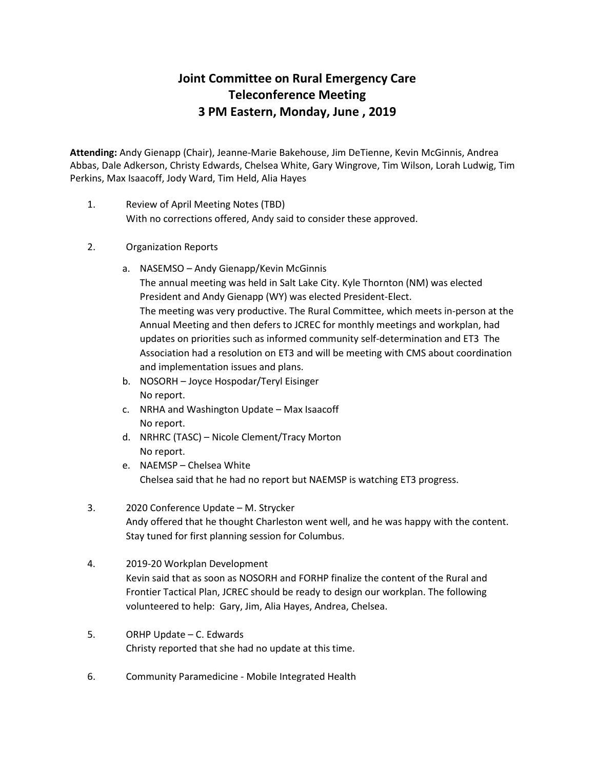## **Joint Committee on Rural Emergency Care Teleconference Meeting 3 PM Eastern, Monday, June , 2019**

**Attending:** Andy Gienapp (Chair), Jeanne-Marie Bakehouse, Jim DeTienne, Kevin McGinnis, Andrea Abbas, Dale Adkerson, Christy Edwards, Chelsea White, Gary Wingrove, Tim Wilson, Lorah Ludwig, Tim Perkins, Max Isaacoff, Jody Ward, Tim Held, Alia Hayes

- 1. Review of April Meeting Notes (TBD) With no corrections offered, Andy said to consider these approved.
- 2. Organization Reports
	- a. NASEMSO Andy Gienapp/Kevin McGinnis The annual meeting was held in Salt Lake City. Kyle Thornton (NM) was elected President and Andy Gienapp (WY) was elected President-Elect. The meeting was very productive. The Rural Committee, which meets in-person at the Annual Meeting and then defers to JCREC for monthly meetings and workplan, had updates on priorities such as informed community self-determination and ET3 The Association had a resolution on ET3 and will be meeting with CMS about coordination and implementation issues and plans.
	- b. NOSORH Joyce Hospodar/Teryl Eisinger No report.
	- c. NRHA and Washington Update Max Isaacoff No report.
	- d. NRHRC (TASC) Nicole Clement/Tracy Morton No report.
	- e. NAEMSP Chelsea White Chelsea said that he had no report but NAEMSP is watching ET3 progress.
- 3. 2020 Conference Update M. Strycker Andy offered that he thought Charleston went well, and he was happy with the content. Stay tuned for first planning session for Columbus.
- 4. 2019-20 Workplan Development Kevin said that as soon as NOSORH and FORHP finalize the content of the Rural and Frontier Tactical Plan, JCREC should be ready to design our workplan. The following volunteered to help: Gary, Jim, Alia Hayes, Andrea, Chelsea.
- 5. ORHP Update C. Edwards Christy reported that she had no update at this time.
- 6. Community Paramedicine Mobile Integrated Health